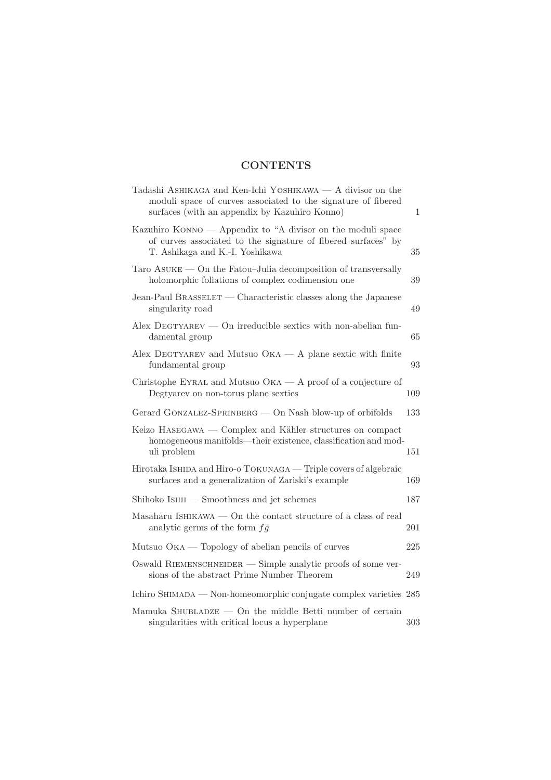## **CONTENTS**

| Tadashi ASHIKAGA and Ken-Ichi YOSHIKAWA — A divisor on the<br>moduli space of curves associated to the signature of fibered<br>surfaces (with an appendix by Kazuhiro Konno) | 1   |
|------------------------------------------------------------------------------------------------------------------------------------------------------------------------------|-----|
| Kazuhiro KONNO — Appendix to "A divisor on the moduli space<br>of curves associated to the signature of fibered surfaces" by<br>T. Ashikaga and K.-I. Yoshikawa              | 35  |
| $\text{Taro}$ ASUKE — On the Fatou-Julia decomposition of transversally<br>holomorphic foliations of complex codimension one                                                 | 39  |
| Jean-Paul BRASSELET — Characteristic classes along the Japanese<br>singularity road                                                                                          | 49  |
| $Alex$ DEGTYAREV — On irreducible sextics with non-abelian fun-<br>damental group                                                                                            | 65  |
| Alex DEGTYAREV and Mutsuo $OKA - A$ plane sextic with finite<br>fundamental group                                                                                            | 93  |
| Christophe EYRAL and Mutsuo $OKA - A$ proof of a conjecture of<br>Degtyarev on non-torus plane sextics                                                                       | 109 |
| Gerard GONZALEZ-SPRINBERG — On Nash blow-up of orbifolds                                                                                                                     | 133 |
| Keizo HASEGAWA — Complex and Kähler structures on compact<br>homogeneous manifolds—their existence, classification and mod-<br>uli problem                                   | 151 |
| Hirotaka IsHIDA and Hiro-o TOKUNAGA — Triple covers of algebraic<br>surfaces and a generalization of Zariski's example                                                       | 169 |
| Shihoko IsHII – Smoothness and jet schemes                                                                                                                                   | 187 |
| Masaharu ISHIKAWA $-$ On the contact structure of a class of real<br>analytic germs of the form $f\bar{g}$                                                                   | 201 |
| Mutsuo $OKA$ — Topology of abelian pencils of curves                                                                                                                         | 225 |
| Oswald RIEMENSCHNEIDER $-$ Simple analytic proofs of some ver-<br>sions of the abstract Prime Number Theorem                                                                 | 249 |
| Ichiro SHIMADA — Non-homeomorphic conjugate complex varieties 285                                                                                                            |     |
| Mamuka SHUBLADZE $-$ On the middle Betti number of certain<br>singularities with critical locus a hyperplane                                                                 | 303 |